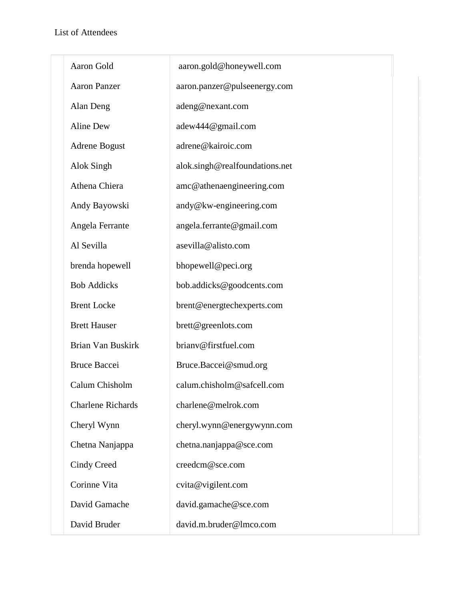$\overline{\Gamma}$ 

| Aaron Gold               | aaron.gold@honeywell.com       |
|--------------------------|--------------------------------|
| <b>Aaron Panzer</b>      | aaron.panzer@pulseenergy.com   |
| Alan Deng                | adeng@nexant.com               |
| Aline Dew                | adew444@gmail.com              |
| Adrene Bogust            | adrene@kairoic.com             |
| Alok Singh               | alok.singh@realfoundations.net |
| Athena Chiera            | amc@athenaengineering.com      |
| Andy Bayowski            | andy@kw-engineering.com        |
| Angela Ferrante          | angela.ferrante@gmail.com      |
| Al Sevilla               | asevilla@alisto.com            |
| brenda hopewell          | bhopewell@peci.org             |
| <b>Bob Addicks</b>       | bob.addicks@goodcents.com      |
| <b>Brent Locke</b>       | brent@energtechexperts.com     |
| <b>Brett Hauser</b>      | brett@greenlots.com            |
| Brian Van Buskirk        | brianv@firstfuel.com           |
| <b>Bruce Baccei</b>      | Bruce.Baccei@smud.org          |
| Calum Chisholm           | calum.chisholm@safcell.com     |
| <b>Charlene Richards</b> | charlene@melrok.com            |
| Cheryl Wynn              | cheryl.wynn@energywynn.com     |
| Chetna Nanjappa          | chetna.nanjappa@sce.com        |
| Cindy Creed              | creedcm@sce.com                |
| Corinne Vita             | cvita@vigilent.com             |
| David Gamache            | david.gamache@sce.com          |
| David Bruder             | david.m.bruder@lmco.com        |
|                          |                                |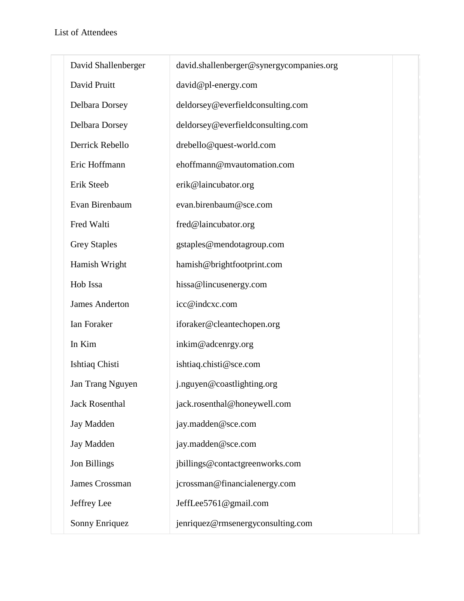| David Shallenberger   | david.shallenberger@synergycompanies.org |  |
|-----------------------|------------------------------------------|--|
| David Pruitt          | david@pl-energy.com                      |  |
| Delbara Dorsey        | deldorsey@everfieldconsulting.com        |  |
| Delbara Dorsey        | deldorsey@everfieldconsulting.com        |  |
| Derrick Rebello       | drebello@quest-world.com                 |  |
| Eric Hoffmann         | ehoffmann@mvautomation.com               |  |
| Erik Steeb            | erik@laincubator.org                     |  |
| Evan Birenbaum        | evan.birenbaum@sce.com                   |  |
| Fred Walti            | fred@laincubator.org                     |  |
| <b>Grey Staples</b>   | gstaples@mendotagroup.com                |  |
| Hamish Wright         | hamish@brightfootprint.com               |  |
| Hob Issa              | hissa@lincusenergy.com                   |  |
| <b>James Anderton</b> | icc@indcxc.com                           |  |
| Ian Foraker           | iforaker@cleantechopen.org               |  |
| In Kim                | inkim@adcenrgy.org                       |  |
| Ishtiaq Chisti        | ishtiaq.chisti@sce.com                   |  |
| Jan Trang Nguyen      | j.nguyen@coastlighting.org               |  |
| <b>Jack Rosenthal</b> | jack.rosenthal@honeywell.com             |  |
| <b>Jay Madden</b>     | jay.madden@sce.com                       |  |
| Jay Madden            | jay.madden@sce.com                       |  |
| <b>Jon Billings</b>   | jbillings@contactgreenworks.com          |  |
| James Crossman        | jcrossman@financialenergy.com            |  |
| Jeffrey Lee           | JeffLee5761@gmail.com                    |  |
| Sonny Enriquez        | jenriquez@rmsenergyconsulting.com        |  |
|                       |                                          |  |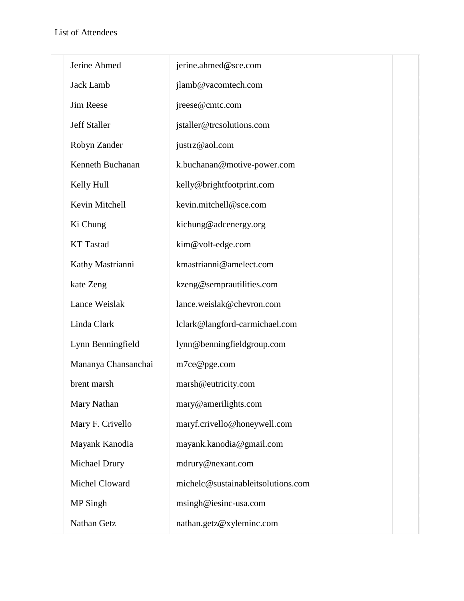| Jerine Ahmed        | jerine.ahmed@sce.com               |
|---------------------|------------------------------------|
| Jack Lamb           | jlamb@vacomtech.com                |
| <b>Jim Reese</b>    | jreese@cmtc.com                    |
| <b>Jeff Staller</b> | jstaller@trcsolutions.com          |
| Robyn Zander        | justrz@aol.com                     |
| Kenneth Buchanan    | k.buchanan@motive-power.com        |
| Kelly Hull          | kelly@brightfootprint.com          |
| Kevin Mitchell      | kevin.mitchell@sce.com             |
| Ki Chung            | kichung@adcenergy.org              |
| <b>KT</b> Tastad    | kim@volt-edge.com                  |
| Kathy Mastrianni    | kmastrianni@amelect.com            |
| kate Zeng           | kzeng@semprautilities.com          |
| Lance Weislak       | lance.weislak@chevron.com          |
| Linda Clark         | lclark@langford-carmichael.com     |
| Lynn Benningfield   | lynn@benningfieldgroup.com         |
| Mananya Chansanchai | m7ce@pge.com                       |
| brent marsh         | marsh@eutricity.com                |
| Mary Nathan         | mary@amerilights.com               |
| Mary F. Crivello    | maryf.crivello@honeywell.com       |
| Mayank Kanodia      | mayank.kanodia@gmail.com           |
| Michael Drury       | mdrury@nexant.com                  |
| Michel Cloward      | michelc@sustainableitsolutions.com |
| MP Singh            | msingh@iesinc-usa.com              |
| Nathan Getz         | nathan.getz@xyleminc.com           |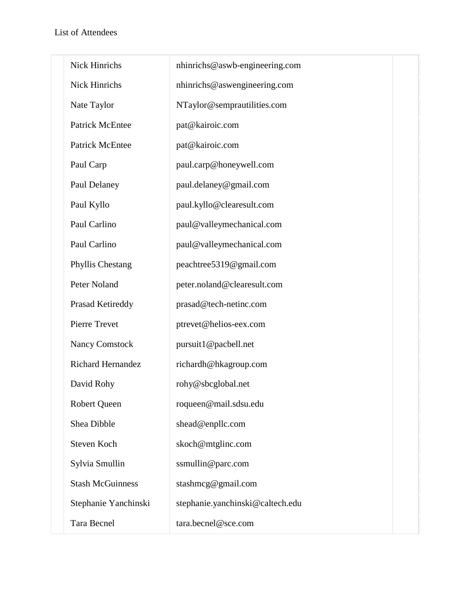| Nick Hinrichs            | nhinrichs@aswb-engineering.com   |
|--------------------------|----------------------------------|
| Nick Hinrichs            | nhinrichs@aswengineering.com     |
| Nate Taylor              | NTaylor@semprautilities.com      |
| <b>Patrick McEntee</b>   | pat@kairoic.com                  |
| <b>Patrick McEntee</b>   | pat@kairoic.com                  |
| Paul Carp                | paul.carp@honeywell.com          |
| Paul Delaney             | paul.delaney@gmail.com           |
| Paul Kyllo               | paul.kyllo@clearesult.com        |
| Paul Carlino             | paul@valleymechanical.com        |
| Paul Carlino             | paul@valleymechanical.com        |
| <b>Phyllis Chestang</b>  | peachtree5319@gmail.com          |
| Peter Noland             | peter.noland@clearesult.com      |
| Prasad Ketireddy         | prasad@tech-netinc.com           |
| Pierre Trevet            | ptrevet@helios-eex.com           |
| <b>Nancy Comstock</b>    | pursuit1@pacbell.net             |
| <b>Richard Hernandez</b> | richardh@hkagroup.com            |
| David Rohy               | rohy@sbcglobal.net               |
| Robert Queen             | roqueen@mail.sdsu.edu            |
| Shea Dibble              | shead@enpllc.com                 |
| Steven Koch              | skoch@mtglinc.com                |
| Sylvia Smullin           | ssmullin@parc.com                |
| <b>Stash McGuinness</b>  | stashmcg@gmail.com               |
| Stephanie Yanchinski     | stephanie.yanchinski@caltech.edu |
| Tara Becnel              | tara.becnel@sce.com              |